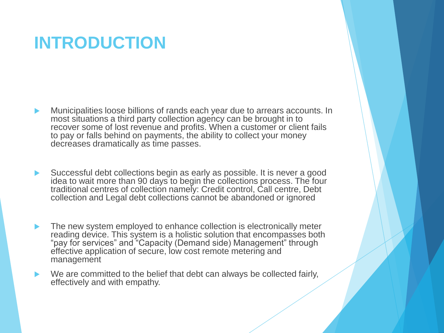### **INTRODUCTION**

- Municipalities loose billions of rands each year due to arrears accounts. In most situations a third party collection agency can be brought in to recover some of lost revenue and profits. When a customer or client fails to pay or falls behind on payments, the ability to collect your money decreases dramatically as time passes.
- Successful debt collections begin as early as possible. It is never a good idea to wait more than 90 days to begin the collections process. The four traditional centres of collection namely: Credit control, Call centre, Debt collection and Legal debt collections cannot be abandoned or ignored
- The new system employed to enhance collection is electronically meter reading device. This system is a holistic solution that encompasses both "pay for services" and "Capacity (Demand side) Management" through effective application of secure, low cost remote metering and management
- We are committed to the belief that debt can always be collected fairly, effectively and with empathy.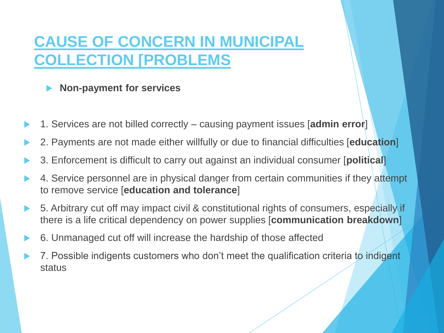### **CAUSE OF CONCERN IN MUNICIPAL COLLECTION [PROBLEMS**

|  | <b>Non-payment for services</b> |  |  |
|--|---------------------------------|--|--|
|--|---------------------------------|--|--|

- 1. Services are not billed correctly causing payment issues [**admin error**]
- 2. Payments are not made either willfully or due to financial difficulties [**education**]
- 3. Enforcement is difficult to carry out against an individual consumer [**political**]
- 4. Service personnel are in physical danger from certain communities if they attempt to remove service [**education and tolerance**]
- 5. Arbitrary cut off may impact civil & constitutional rights of consumers, especially if there is a life critical dependency on power supplies [**communication breakdown**]
- 6. Unmanaged cut off will increase the hardship of those affected
- 7. Possible indigents customers who don't meet the qualification criteria to indigent status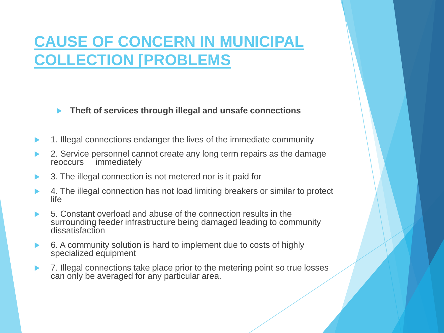### **CAUSE OF CONCERN IN MUNICIPAL COLLECTION [PROBLEMS**

**Theft of services through illegal and unsafe connections** 

- 1. Illegal connections endanger the lives of the immediate community
- 2. Service personnel cannot create any long term repairs as the damage reoccurs immediately immediately
- 3. The illegal connection is not metered nor is it paid for
- 4. The illegal connection has not load limiting breakers or similar to protect life
- 5. Constant overload and abuse of the connection results in the surrounding feeder infrastructure being damaged leading to community dissatisfaction
- 6. A community solution is hard to implement due to costs of highly specialized equipment
- 7. Illegal connections take place prior to the metering point so true losses can only be averaged for any particular area.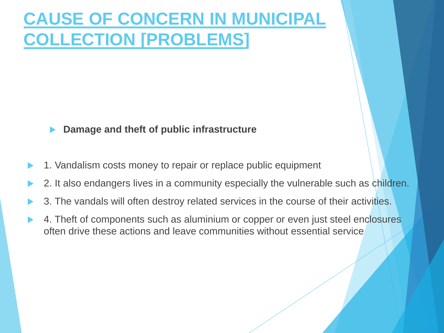### **CAUSE OF CONCERN IN MUNICIPAL COLLECTION [PROBLEMS]**

#### **Damage and theft of public infrastructure**

- 1. Vandalism costs money to repair or replace public equipment
- 2. It also endangers lives in a community especially the vulnerable such as children.
- 3. The vandals will often destroy related services in the course of their activities.
- 4. Theft of components such as aluminium or copper or even just steel enclosures often drive these actions and leave communities without essential service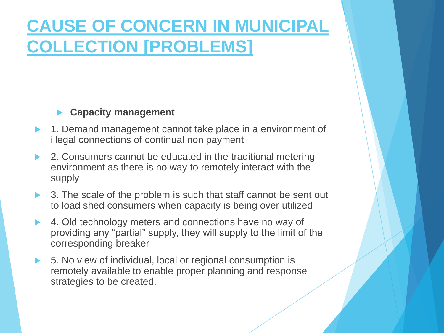### **CAUSE OF CONCERN IN MUNICIPAL COLLECTION [PROBLEMS]**

### **Capacity management**

- 1. Demand management cannot take place in a environment of illegal connections of continual non payment
- 2. Consumers cannot be educated in the traditional metering environment as there is no way to remotely interact with the supply
- ▶ 3. The scale of the problem is such that staff cannot be sent out to load shed consumers when capacity is being over utilized
- 4. Old technology meters and connections have no way of providing any "partial" supply, they will supply to the limit of the corresponding breaker
- 5. No view of individual, local or regional consumption is remotely available to enable proper planning and response strategies to be created.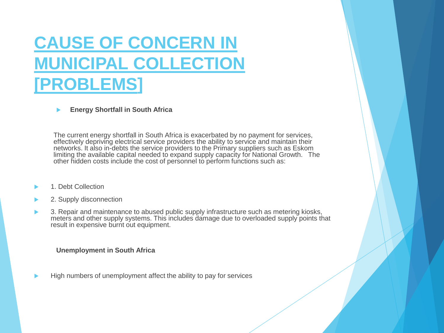### **CAUSE OF CONCERN IN MUNICIPAL COLLECTION [PROBLEMS]**

**Energy Shortfall in South Africa** 

The current energy shortfall in South Africa is exacerbated by no payment for services, effectively depriving electrical service providers the ability to service and maintain their networks. It also in-debts the service providers to the Primary suppliers such as Eskom limiting the available capital needed to expand supply capacity for National Growth. The other hidden costs include the cost of personnel to perform functions such as:

- 1. Debt Collection
- 2. Supply disconnection
- 3. Repair and maintenance to abused public supply infrastructure such as metering kiosks, meters and other supply systems. This includes damage due to overloaded supply points that result in expensive burnt out equipment.

#### **Unemployment in South Africa**

High numbers of unemployment affect the ability to pay for services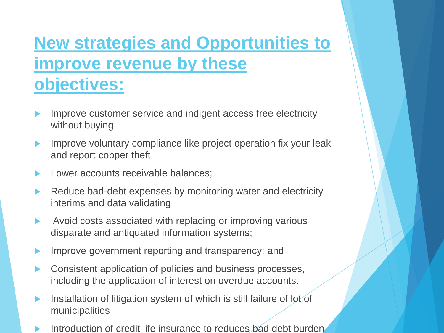### **New strategies and Opportunities to improve revenue by these objectives:**

- Improve customer service and indigent access free electricity without buying
- Improve voluntary compliance like project operation fix your leak and report copper theft
- Lower accounts receivable balances;
- Reduce bad-debt expenses by monitoring water and electricity interims and data validating
- Avoid costs associated with replacing or improving various disparate and antiquated information systems;
- Improve government reporting and transparency; and
- Consistent application of policies and business processes, including the application of interest on overdue accounts.
- Installation of litigation system of which is still failure of lot of municipalities
- Introduction of credit life insurance to reduces bad debt burden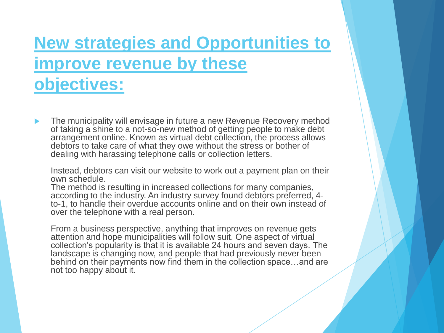### **New strategies and Opportunities to improve revenue by these objectives:**

 The municipality will envisage in future a new Revenue Recovery method of taking a shine to a not-so-new method of getting people to make debt arrangement online. Known as virtual debt collection, the process allows debtors to take care of what they owe without the stress or bother of dealing with harassing telephone calls or collection letters.

Instead, debtors can visit our website to work out a payment plan on their own schedule.

The method is resulting in increased collections for many companies, according to the industry. An industry survey found debtors preferred, 4 to-1, to handle their overdue accounts online and on their own instead of over the telephone with a real person.

From a business perspective, anything that improves on revenue gets attention and hope municipalities will follow suit. One aspect of virtual collection's popularity is that it is available 24 hours and seven days. The landscape is changing now, and people that had previously never been behind on their payments now find them in the collection space…and are not too happy about it.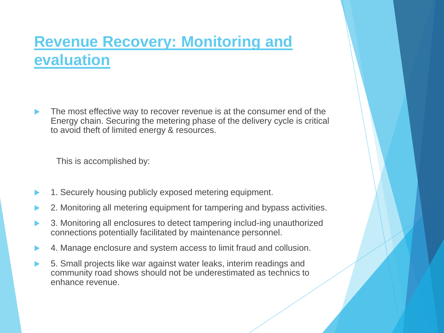### **Revenue Recovery: Monitoring and evaluation**

 The most effective way to recover revenue is at the consumer end of the Energy chain. Securing the metering phase of the delivery cycle is critical to avoid theft of limited energy & resources.

This is accomplished by:

- 1. Securely housing publicly exposed metering equipment.
- 2. Monitoring all metering equipment for tampering and bypass activities.
- 3. Monitoring all enclosures to detect tampering includ-ing unauthorized connections potentially facilitated by maintenance personnel.
- 4. Manage enclosure and system access to limit fraud and collusion.
- 5. Small projects like war against water leaks, interim readings and community road shows should not be underestimated as technics to enhance revenue.